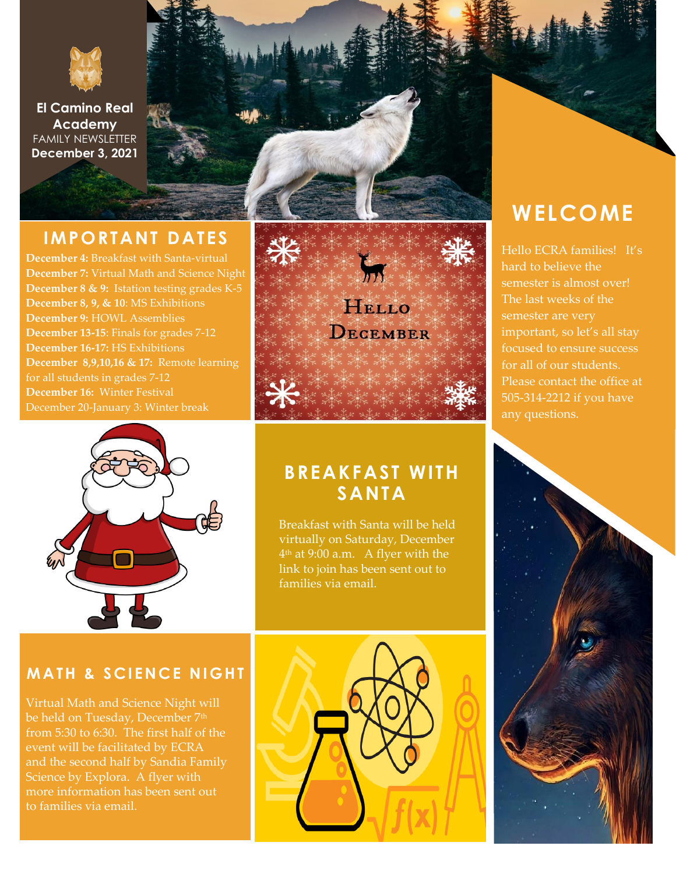

**El Camino Real Academy** FAMILY NEWSLETTER **December 3, 2021**

#### **IMPORTANT DATES**

**December 4:** Breakfast with Santa-virtual **December 7:** Virtual Math and Science Night **December 8 & 9:** Istation testing grades K-5 **December 8, 9, & 10**: MS Exhibitions **December 9:** HOWL Assemblies **December 13-15**: Finals for grades 7-12 **December 16-17:** HS Exhibitions **December 8,9,10,16 & 17:** Remote learning for all students in grades 7-12 **December 16:** Winter Festival December 20-January 3: Winter break



### **BREAKFAST WITH SANTA**

Breakfast with Santa will be held virtually on Saturday, December 4 th at 9:00 a.m. A flyer with the link to join has been sent out to families via email.

#### **MATH & SCIENCE NIGHT**

Virtual Math and Science Night will be held on Tuesday, December 7<sup>th</sup> from 5:30 to 6:30. The first half of the event will be facilitated by ECRA and the second half by Sandia Family Science by Explora. A flyer with more information has been sent out to families via email.



## **WELCOME**

Hello ECRA families! It's hard to believe the semester is almost over! The last weeks of the important, so let's all stay focused to ensure success for all of our students. Please contact the office at 505-314-2212 if you have any questions.

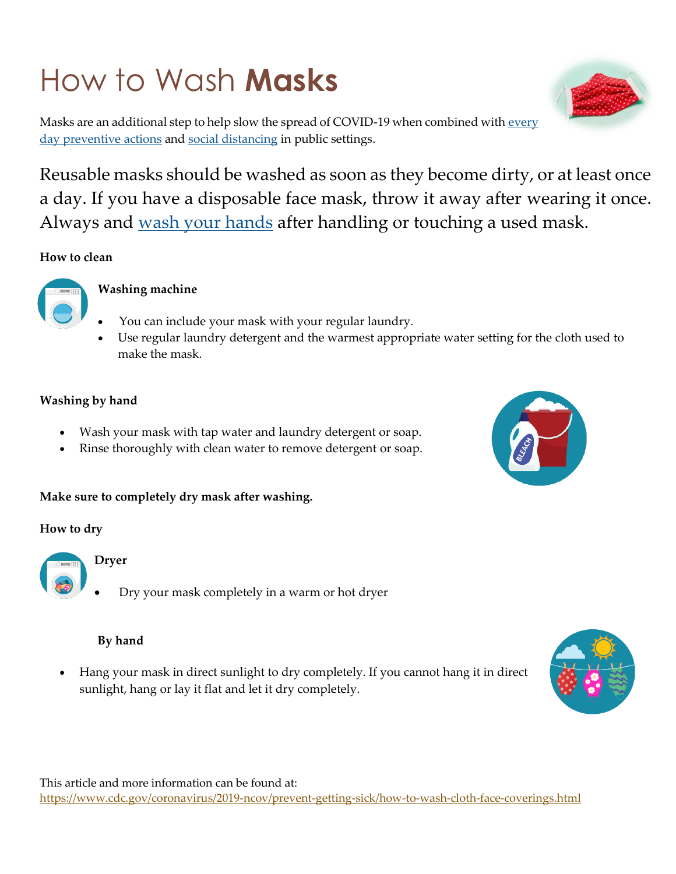# How to Wash **Masks**

Masks are an additional step to help slow the spread of COVID-19 when combined with every [day preventive actions](https://www.cdc.gov/coronavirus/2019-ncov/prevent-getting-sick/prevention.html) and [social distancing](https://www.cdc.gov/coronavirus/2019-ncov/prevent-getting-sick/social-distancing.html) in public settings.

Reusable masks should be washed as soon as they become dirty, or at least once a day. If you have a disposable face mask, throw it away after wearing it once. Always and [wash your hands](https://www.cdc.gov/handwashing/index.html) after handling or touching a used mask.

**How to clean**



#### **Washing machine**

- You can include your mask with your regular laundry.
- Use regular laundry detergent and the warmest appropriate water setting for the cloth used to make the mask.

#### **Washing by hand**

- Wash your mask with tap water and laundry detergent or soap.
- Rinse thoroughly with clean water to remove detergent or soap.

#### **Make sure to completely dry mask after washing.**

#### **How to dry**



#### **Dryer**

Dry your mask completely in a warm or hot dryer

#### **By hand**

 Hang your mask in direct sunlight to dry completely. If you cannot hang it in direct sunlight, hang or lay it flat and let it dry completely.